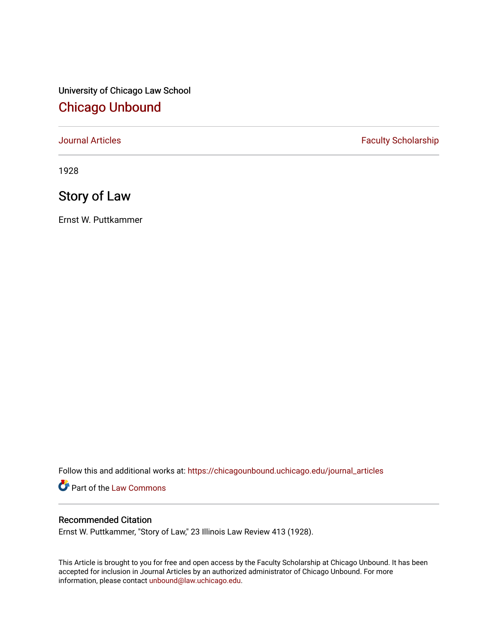University of Chicago Law School [Chicago Unbound](https://chicagounbound.uchicago.edu/)

[Journal Articles](https://chicagounbound.uchicago.edu/journal_articles) **Faculty Scholarship Faculty Scholarship** 

1928

# Story of Law

Ernst W. Puttkammer

Follow this and additional works at: [https://chicagounbound.uchicago.edu/journal\\_articles](https://chicagounbound.uchicago.edu/journal_articles?utm_source=chicagounbound.uchicago.edu%2Fjournal_articles%2F9406&utm_medium=PDF&utm_campaign=PDFCoverPages) 

Part of the [Law Commons](http://network.bepress.com/hgg/discipline/578?utm_source=chicagounbound.uchicago.edu%2Fjournal_articles%2F9406&utm_medium=PDF&utm_campaign=PDFCoverPages)

## Recommended Citation

Ernst W. Puttkammer, "Story of Law," 23 Illinois Law Review 413 (1928).

This Article is brought to you for free and open access by the Faculty Scholarship at Chicago Unbound. It has been accepted for inclusion in Journal Articles by an authorized administrator of Chicago Unbound. For more information, please contact [unbound@law.uchicago.edu](mailto:unbound@law.uchicago.edu).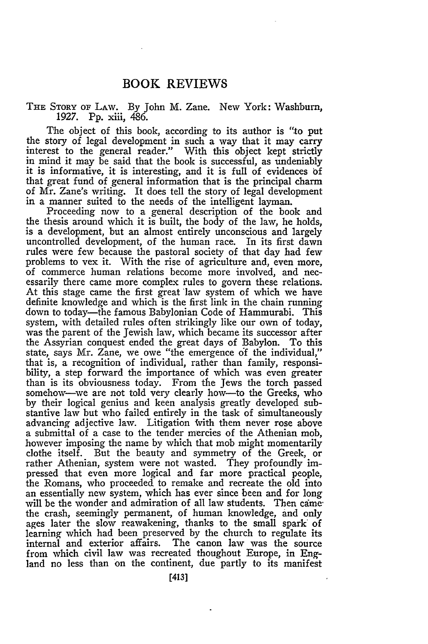### **BOOK REVIEWS**

#### THE SToRY oF LAw. By John M. Zane. New York: Washburn, 1927. Pp. xiii, 486.

The object of this book, according to its author is "to put the story of legal development in such a way that it may carry interest to the general reader." With this object kept strictly in mind it may be said that the book is successful, as undeniably it is informative, it is interesting, and it is full of evidences **of** that great fund of general information that is the principal charm of Mr. Zane's writing. It does tell the story of legal development in a manner suited to the needs of the intelligent layman.

Proceeding now to a general description of the book and the thesis around which it is built, the body of the law, he holds, is a development, but an almost entirely unconscious and largely uncontrolled development, of the human race. In its first dawn rules were few because the pastoral society of that day had few problems to vex it. With the rise of agriculture and, even more, of commerce human relations become more involved, and necessarily there came more complex rules to govern these relations. At this stage came the first great law system of which we have definite knowledge and which is the first link in the chain running down to today-the famous Babylonian Code of Hammurabi. This system, with detailed rules often strikingly like our own of today, was the parent of the Jewish law, which became its successor after the Assyrian conquest ended the great days of Babylon. To this state, says Mr. Zane, we owe "the emergence **of** the individual," that is, a recognition of individual, rather than family, responsibility, a step forward the importance of which was even greater than is its obviousness today. From the Jews the torch passed somehow-we are not told very clearly how-to the Greeks, who by their logical genius and keen analysis greatly developed substantive law but who failed entirely in the task of simultaneously advancing adjective law. Litigation With them never rose above a submittal of a case to the tender mercies of the Athenian mob, however imposing the name by which that mob might momentarily clothe itself. But the beauty and symmetry of the Greek, or rather Athenian, system were not wasted. They profoundly impressed that even more logical and far more practical people, the Romans, who proceeded to remake and recreate the old into an essentially new system, which has ever since been and for long will be the wonder and admiration of all law students. Then camethe crash, seemingly permanent, of human knowledge, and only ages later the slow reawakening, thanks to the small spark of learning which had been preserved by the church to regulate its internal and exterior affairs. The canon law was the source from which civil law was recreated thoughout Europe, in England no less than on the continent, due partly to its manifest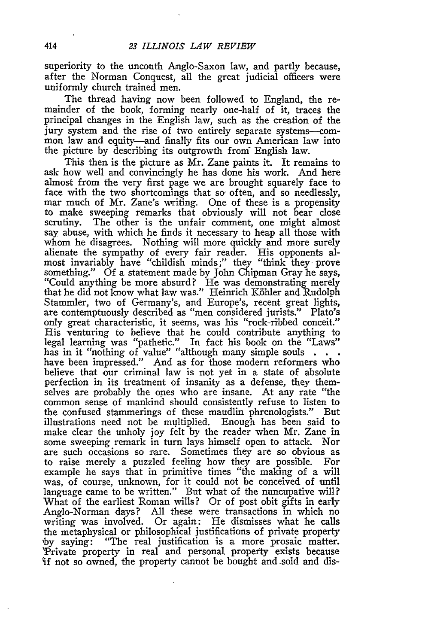superiority to the uncouth Anglo-Saxon law, and partly because, after the Norman Conquest, all the great judicial officers were uniformly church trained men.

The thread having now been followed to England, the remainder of the book, forming nearly one-half of it, traces the principal changes in the English law, such as the creation of the jury system and the rise of two entirely separate systems-common law and equity-and finally fits our own American law into the picture by describing its outgrowth from' English law.

This then is the picture as Mr. Zane paints it. It remains to ask how well and convincingly he has done his work. And here almost from the very first page we are brought squarely face to face with the two shortcomings that so often, and so needlessly, mar much of Mr. Zane's writing. One of these is a propensity to make sweeping remarks that obviously will not bear close scrutiny. The other is the unfair comment, one might almost say abuse, with which he finds it necessary to heap all those with whom he disagrees. Nothing will more quickly and more surely alienate the sympathy of every fair reader. His opponents almost invariably have "childish minds;" they "think they prove something." Of a statement made by John Chipman Gray he says, "Could anything be more absurd? He was demonstrating merely that he did not know what law was." Heinrich K6hler and Rudolph Stammler, two of Germany's, and Europe's, recent great lights, are contemptuously described as "men considered jurists." Plato's only great characteristic, it seems, was his "rock-ribbed conceit." His venturing to believe that he could contribute anything to legal learning was "pathetic." In fact his book on the "Laws" has in it "nothing of value" "although many simple souls **.** have been impressed." And as for those modern reformers who believe that our criminal law is not yet in a state of absolute perfection in its treatment of insanity as a defense, they themselves are probably the ones who are insane. At any rate "the common sense of mankind should consistently refuse to listen to the confused stammerings of these maudlin phrenologists." But illustrations need not be multiplied. Enough has been said to make clear the unholy joy felt by the reader when Mr. Zane in some sweeping remark in turn lays himself open to attack. Nor are such occasions so rare. Sometimes they are so obvious as to raise merely a puzzled feeling how they are possible. For example he says that in primitive times "the making of a will was, of course, unknown, for it could not be conceived of until language came to be written." But what of the nuncupative will? What of the earliest Roman wills? Or of post obit gifts in early Anglo-Norman days? All these were transactions in which no writing was involved. Or again: He dismisses what he calls the metaphysical or philosophical justifications of private property **,by** saying: "The real justification is a more prosaic matter. Private property in real and personal property exists because if not so owned, the property cannot be bought and.sold and dis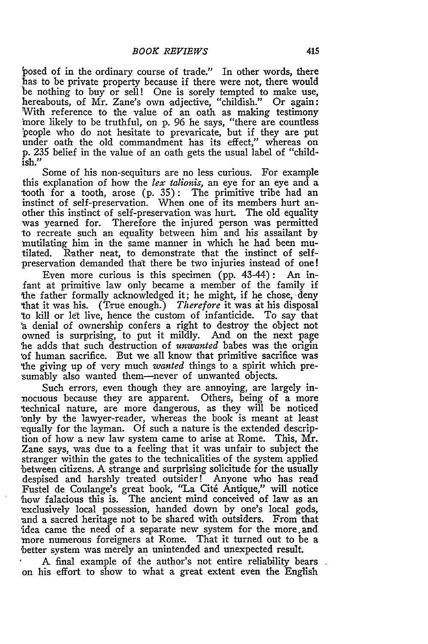posed of in the ordinary course of trade." In other words, there has to be private property because if there were not, there would be nothing to buy or sell! One is sorely tempted to make use, hereabouts, of Mr. Zane's own adjective, "childish." Or again: With reference to the value of an oath as making testimony 'nore likely to be truthful, on p. 96 he says, "there are countless 'people who do not hesitate to prevaricate, but if they are put under oath the old commandment has its effect," whereas on p. 235 belief in the value of an oath gets the usual label of "childish."

Some of his non-sequiturs are no less curious. For example this explanation of how the *lex talionis,* an eye for an eye and a tooth for a tooth, arose (p. 35): The primitive tribe had an instinct of self-preservation. When one of its members hurt another this instinct of self-preservation was hurt. The old equality was yearned for. Therefore the injured person was permitted to recreate such an equality between him and his assailant by mutilating him in the same manner in which he had been mutilated. Rather neat, to demonstrate that the instinct of selfpreservation demanded that there be two injuries instead of one!

Even more curious is this specimen (pp. 43-44): An infant at primitive law only became a member of the family if the father formally acknowledged it; he might, if he chose, deny that it was his. (True enough.) *Therefore* it was it his disposal to kill or let live, hence the custom of infanticide. To say that 'a denial of ownership confers a right to destroy the object not owned is surprising, to put it mildly. And on the next page 'he adds that such destruction of *unwanted* babes was the origin 'of human sacrifice. But we all know that primitive sacrifice was the giving up of very much *wanted* things to a spirit which pre sumably also wanted them—never of unwanted objects.

Such errors, even though they are annoying, are largely innocuous because they are apparent. Others, being of a more technical nature, are more dangerous, as they will be noticed 'only by the lawyer-reader, whereas the book is meant at least -equally for the layman. Of such a nature is the extended description of how a new law system came to arise at Rome. This, Mr. Zane says, was due to a feeling that it was unfair to subject the stranger within the gates to the technicalities of the system applied between citizens. A strange and surprising solicitude for the usually despised and harshly treated outsider! Anyone who has read Fustel de Coulange's great book, "La Cit6 Antique," will notice 'how falacious this is. The ancient mind conceived of law as an 'exclusively local possession, handed down by one's local gods, and a sacred heritage not to be shared with outsiders. From that idea came the need of a separate new system for the more.and more numerous foreigners at Rome. That it turned out to be a better system was merely an unintended and unexpected result.

A final example of the author's not entire reliability bears on his effort to show to what a great extent even the English